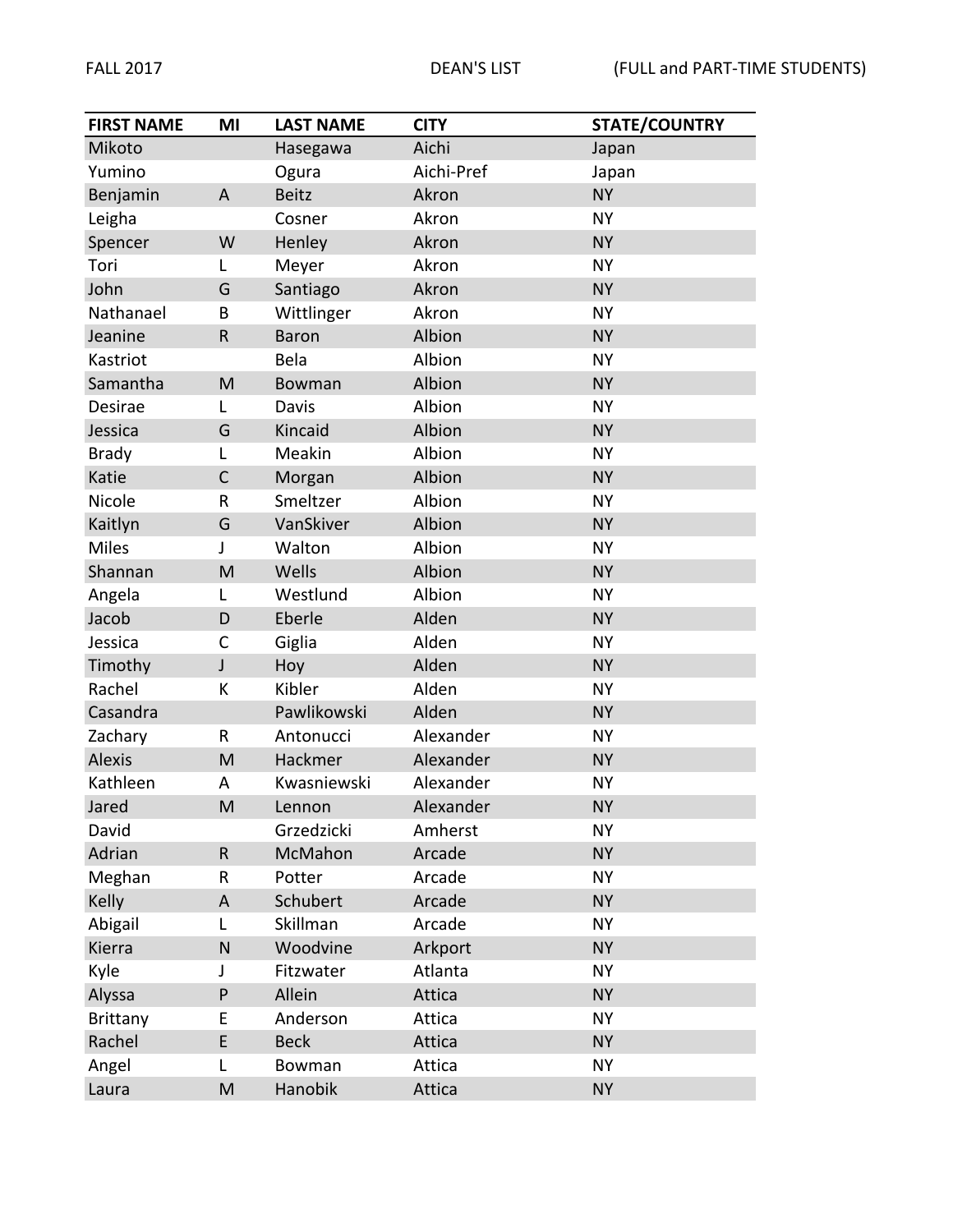| <b>FIRST NAME</b> | MI           | <b>LAST NAME</b> | <b>CITY</b> | <b>STATE/COUNTRY</b> |
|-------------------|--------------|------------------|-------------|----------------------|
| Mikoto            |              | Hasegawa         | Aichi       | Japan                |
| Yumino            |              | Ogura            | Aichi-Pref  | Japan                |
| Benjamin          | A            | <b>Beitz</b>     | Akron       | <b>NY</b>            |
| Leigha            |              | Cosner           | Akron       | <b>NY</b>            |
| Spencer           | W            | Henley           | Akron       | <b>NY</b>            |
| Tori              | L            | Meyer            | Akron       | <b>NY</b>            |
| John              | G            | Santiago         | Akron       | <b>NY</b>            |
| Nathanael         | B            | Wittlinger       | Akron       | <b>NY</b>            |
| Jeanine           | $\mathsf R$  | Baron            | Albion      | <b>NY</b>            |
| Kastriot          |              | Bela             | Albion      | <b>NY</b>            |
| Samantha          | M            | Bowman           | Albion      | <b>NY</b>            |
| Desirae           | L            | Davis            | Albion      | <b>NY</b>            |
| Jessica           | G            | Kincaid          | Albion      | <b>NY</b>            |
| <b>Brady</b>      | L            | Meakin           | Albion      | <b>NY</b>            |
| Katie             | $\mathsf{C}$ | Morgan           | Albion      | <b>NY</b>            |
| Nicole            | R            | Smeltzer         | Albion      | <b>NY</b>            |
| Kaitlyn           | G            | VanSkiver        | Albion      | <b>NY</b>            |
| <b>Miles</b>      | J            | Walton           | Albion      | <b>NY</b>            |
| Shannan           | M            | Wells            | Albion      | <b>NY</b>            |
| Angela            | L            | Westlund         | Albion      | <b>NY</b>            |
| Jacob             | D            | Eberle           | Alden       | <b>NY</b>            |
| Jessica           | C            | Giglia           | Alden       | <b>NY</b>            |
| Timothy           | J            | Hoy              | Alden       | <b>NY</b>            |
| Rachel            | К            | Kibler           | Alden       | <b>NY</b>            |
| Casandra          |              | Pawlikowski      | Alden       | <b>NY</b>            |
| Zachary           | R            | Antonucci        | Alexander   | <b>NY</b>            |
| Alexis            | M            | Hackmer          | Alexander   | <b>NY</b>            |
| Kathleen          | A            | Kwasniewski      | Alexander   | <b>NY</b>            |
| Jared             | M            | Lennon           | Alexander   | <b>NY</b>            |
| David             |              | Grzedzicki       | Amherst     | <b>NY</b>            |
| Adrian            | ${\sf R}$    | McMahon          | Arcade      | <b>NY</b>            |
| Meghan            | R            | Potter           | Arcade      | <b>NY</b>            |
| Kelly             | A            | Schubert         | Arcade      | <b>NY</b>            |
| Abigail           | L            | Skillman         | Arcade      | <b>NY</b>            |
| Kierra            | ${\sf N}$    | Woodvine         | Arkport     | <b>NY</b>            |
| Kyle              | J            | Fitzwater        | Atlanta     | <b>NY</b>            |
| Alyssa            | ${\sf P}$    | Allein           | Attica      | <b>NY</b>            |
| <b>Brittany</b>   | E            | Anderson         | Attica      | <b>NY</b>            |
| Rachel            | E            | <b>Beck</b>      | Attica      | <b>NY</b>            |
| Angel             | L            | Bowman           | Attica      | <b>NY</b>            |
| Laura             | M            | Hanobik          | Attica      | <b>NY</b>            |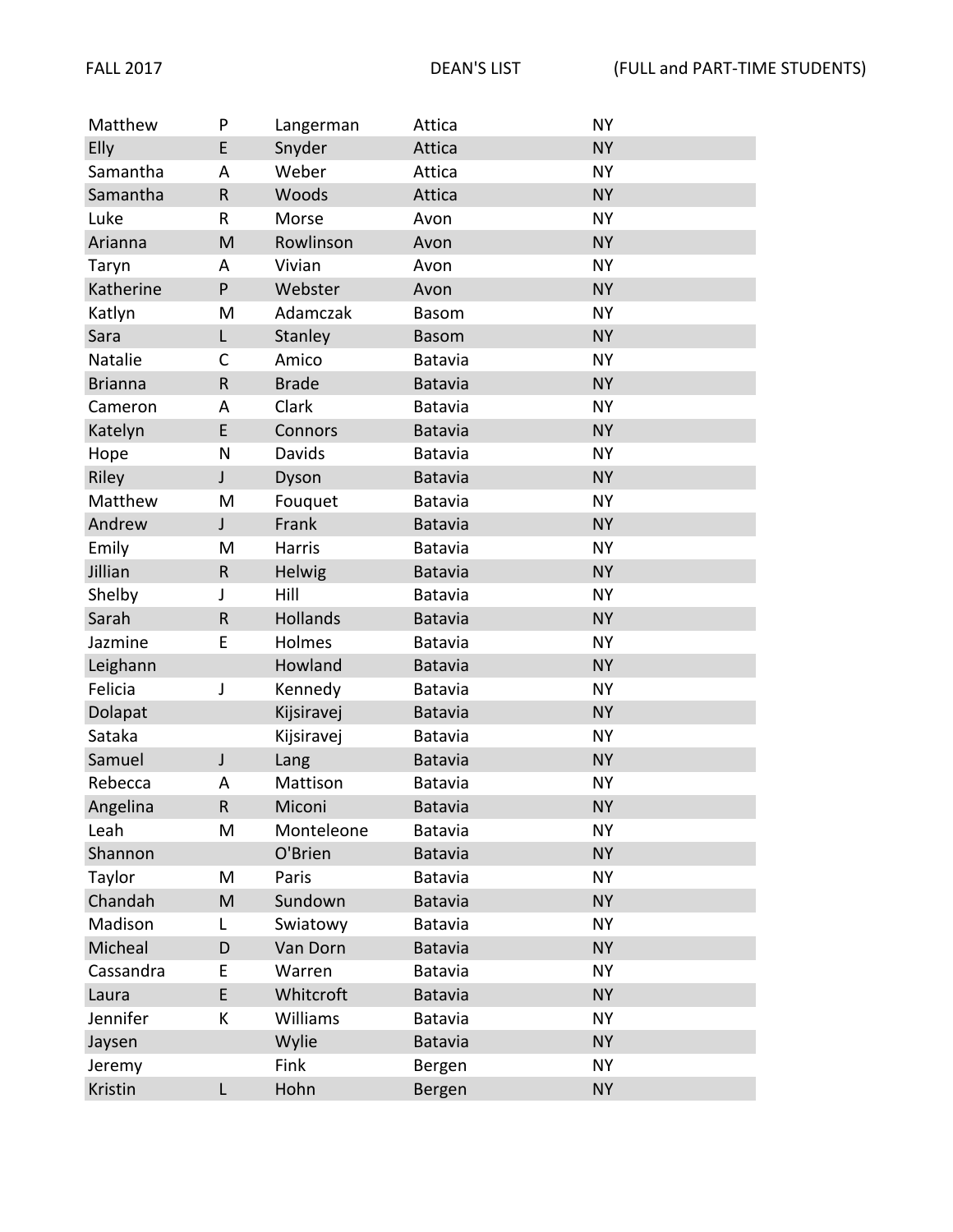| Matthew        | P            | Langerman    | Attica         | <b>NY</b> |
|----------------|--------------|--------------|----------------|-----------|
| Elly           | E            | Snyder       | Attica         | <b>NY</b> |
| Samantha       | A            | Weber        | Attica         | <b>NY</b> |
| Samantha       | ${\sf R}$    | Woods        | Attica         | <b>NY</b> |
| Luke           | R            | Morse        | Avon           | <b>NY</b> |
| Arianna        | M            | Rowlinson    | Avon           | <b>NY</b> |
| Taryn          | A            | Vivian       | Avon           | <b>NY</b> |
| Katherine      | P            | Webster      | Avon           | <b>NY</b> |
| Katlyn         | M            | Adamczak     | <b>Basom</b>   | <b>NY</b> |
| Sara           | L            | Stanley      | <b>Basom</b>   | <b>NY</b> |
| Natalie        | C            | Amico        | Batavia        | <b>NY</b> |
| <b>Brianna</b> | $\mathsf R$  | <b>Brade</b> | Batavia        | <b>NY</b> |
| Cameron        | Α            | Clark        | Batavia        | <b>NY</b> |
| Katelyn        | E            | Connors      | Batavia        | <b>NY</b> |
| Hope           | N            | Davids       | Batavia        | <b>NY</b> |
| Riley          | J            | Dyson        | Batavia        | <b>NY</b> |
| Matthew        | M            | Fouquet      | Batavia        | <b>NY</b> |
| Andrew         | $\mathsf J$  | Frank        | Batavia        | <b>NY</b> |
| Emily          | M            | Harris       | Batavia        | <b>NY</b> |
| Jillian        | $\mathsf{R}$ | Helwig       | <b>Batavia</b> | <b>NY</b> |
| Shelby         | J            | Hill         | Batavia        | <b>NY</b> |
| Sarah          | ${\sf R}$    | Hollands     | Batavia        | <b>NY</b> |
| Jazmine        | E            | Holmes       | Batavia        | <b>NY</b> |
| Leighann       |              | Howland      | <b>Batavia</b> | <b>NY</b> |
| Felicia        | J            | Kennedy      | Batavia        | <b>NY</b> |
| Dolapat        |              | Kijsiravej   | Batavia        | <b>NY</b> |
| Sataka         |              | Kijsiravej   | <b>Batavia</b> | <b>NY</b> |
| Samuel         | J            | Lang         | <b>Batavia</b> | <b>NY</b> |
| Rebecca        | A            | Mattison     | Batavia        | <b>NY</b> |
| Angelina       | ${\sf R}$    | Miconi       | <b>Batavia</b> | <b>NY</b> |
| Leah           | M            | Monteleone   | <b>Batavia</b> | <b>NY</b> |
| Shannon        |              | O'Brien      | Batavia        | <b>NY</b> |
| Taylor         | M            | Paris        | Batavia        | <b>NY</b> |
| Chandah        | M            | Sundown      | Batavia        | <b>NY</b> |
| Madison        | L            | Swiatowy     | Batavia        | <b>NY</b> |
| Micheal        | D            | Van Dorn     | Batavia        | <b>NY</b> |
| Cassandra      | Е            | Warren       | Batavia        | <b>NY</b> |
| Laura          | E            | Whitcroft    | Batavia        | <b>NY</b> |
| Jennifer       | К            | Williams     | Batavia        | <b>NY</b> |
| Jaysen         |              | Wylie        | <b>Batavia</b> | <b>NY</b> |
| Jeremy         |              | Fink         | Bergen         | <b>NY</b> |
| Kristin        | L            | Hohn         | Bergen         | <b>NY</b> |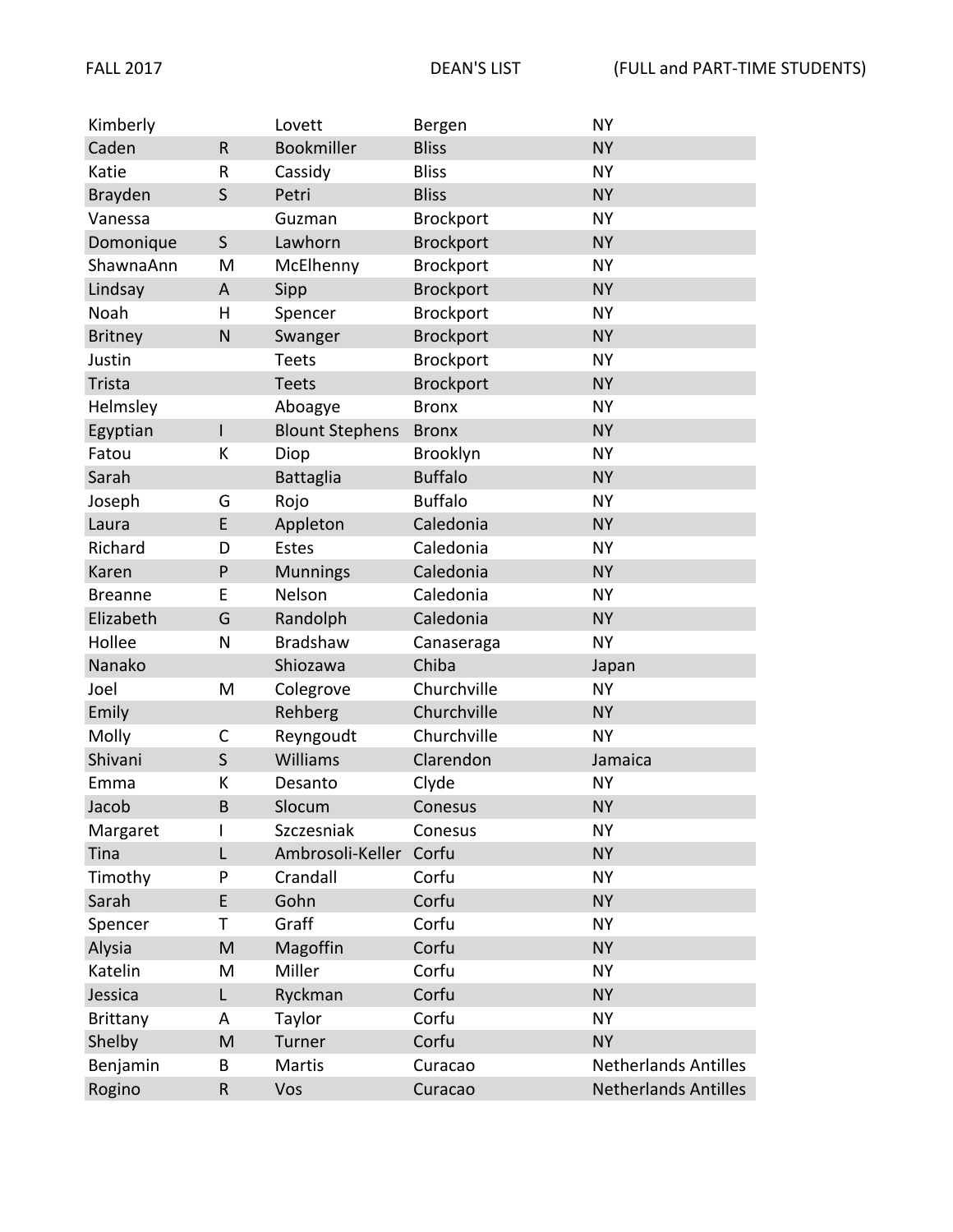| Kimberly        |              | Lovett                 | Bergen           | <b>NY</b>                   |
|-----------------|--------------|------------------------|------------------|-----------------------------|
| Caden           | $\mathsf R$  | Bookmiller             | <b>Bliss</b>     | <b>NY</b>                   |
| Katie           | R            | Cassidy                | <b>Bliss</b>     | <b>NY</b>                   |
| Brayden         | S            | Petri                  | <b>Bliss</b>     | <b>NY</b>                   |
| Vanessa         |              | Guzman                 | Brockport        | <b>NY</b>                   |
| Domonique       | $\mathsf{S}$ | Lawhorn                | <b>Brockport</b> | <b>NY</b>                   |
| ShawnaAnn       | M            | McElhenny              | Brockport        | <b>NY</b>                   |
| Lindsay         | A            | Sipp                   | <b>Brockport</b> | <b>NY</b>                   |
| Noah            | H            | Spencer                | Brockport        | <b>NY</b>                   |
| <b>Britney</b>  | N            | Swanger                | <b>Brockport</b> | <b>NY</b>                   |
| Justin          |              | <b>Teets</b>           | Brockport        | <b>NY</b>                   |
| Trista          |              | <b>Teets</b>           | <b>Brockport</b> | <b>NY</b>                   |
| Helmsley        |              | Aboagye                | <b>Bronx</b>     | <b>NY</b>                   |
| Egyptian        | L            | <b>Blount Stephens</b> | <b>Bronx</b>     | <b>NY</b>                   |
| Fatou           | К            | Diop                   | Brooklyn         | <b>NY</b>                   |
| Sarah           |              | <b>Battaglia</b>       | <b>Buffalo</b>   | <b>NY</b>                   |
| Joseph          | G            | Rojo                   | <b>Buffalo</b>   | <b>NY</b>                   |
| Laura           | E            | Appleton               | Caledonia        | <b>NY</b>                   |
| Richard         | D            | <b>Estes</b>           | Caledonia        | <b>NY</b>                   |
| Karen           | P            | <b>Munnings</b>        | Caledonia        | <b>NY</b>                   |
| <b>Breanne</b>  | E            | Nelson                 | Caledonia        | <b>NY</b>                   |
| Elizabeth       | G            | Randolph               | Caledonia        | <b>NY</b>                   |
| Hollee          | N            | <b>Bradshaw</b>        | Canaseraga       | <b>NY</b>                   |
| Nanako          |              | Shiozawa               | Chiba            | Japan                       |
| Joel            | M            | Colegrove              | Churchville      | <b>NY</b>                   |
| Emily           |              | Rehberg                | Churchville      | <b>NY</b>                   |
| Molly           | C            | Reyngoudt              | Churchville      | <b>NY</b>                   |
| Shivani         | $\mathsf S$  | Williams               | Clarendon        | Jamaica                     |
| Emma            | К            | Desanto                | Clyde            | <b>NY</b>                   |
| Jacob           | <sub>B</sub> | Slocum                 | Conesus          | <b>NY</b>                   |
| Margaret        | I            | Szczesniak             | Conesus          | <b>NY</b>                   |
| Tina            | L            | Ambrosoli-Keller       | Corfu            | <b>NY</b>                   |
| Timothy         | P            | Crandall               | Corfu            | <b>NY</b>                   |
| Sarah           | E            | Gohn                   | Corfu            | <b>NY</b>                   |
| Spencer         | Т            | Graff                  | Corfu            | <b>NY</b>                   |
| Alysia          | M            | Magoffin               | Corfu            | <b>NY</b>                   |
| Katelin         | M            | Miller                 | Corfu            | <b>NY</b>                   |
| Jessica         | L            | Ryckman                | Corfu            | <b>NY</b>                   |
| <b>Brittany</b> | A            | Taylor                 | Corfu            | <b>NY</b>                   |
| Shelby          | M            | Turner                 | Corfu            | <b>NY</b>                   |
| Benjamin        | B            | Martis                 | Curacao          | <b>Netherlands Antilles</b> |
| Rogino          | ${\sf R}$    | Vos                    | Curacao          | <b>Netherlands Antilles</b> |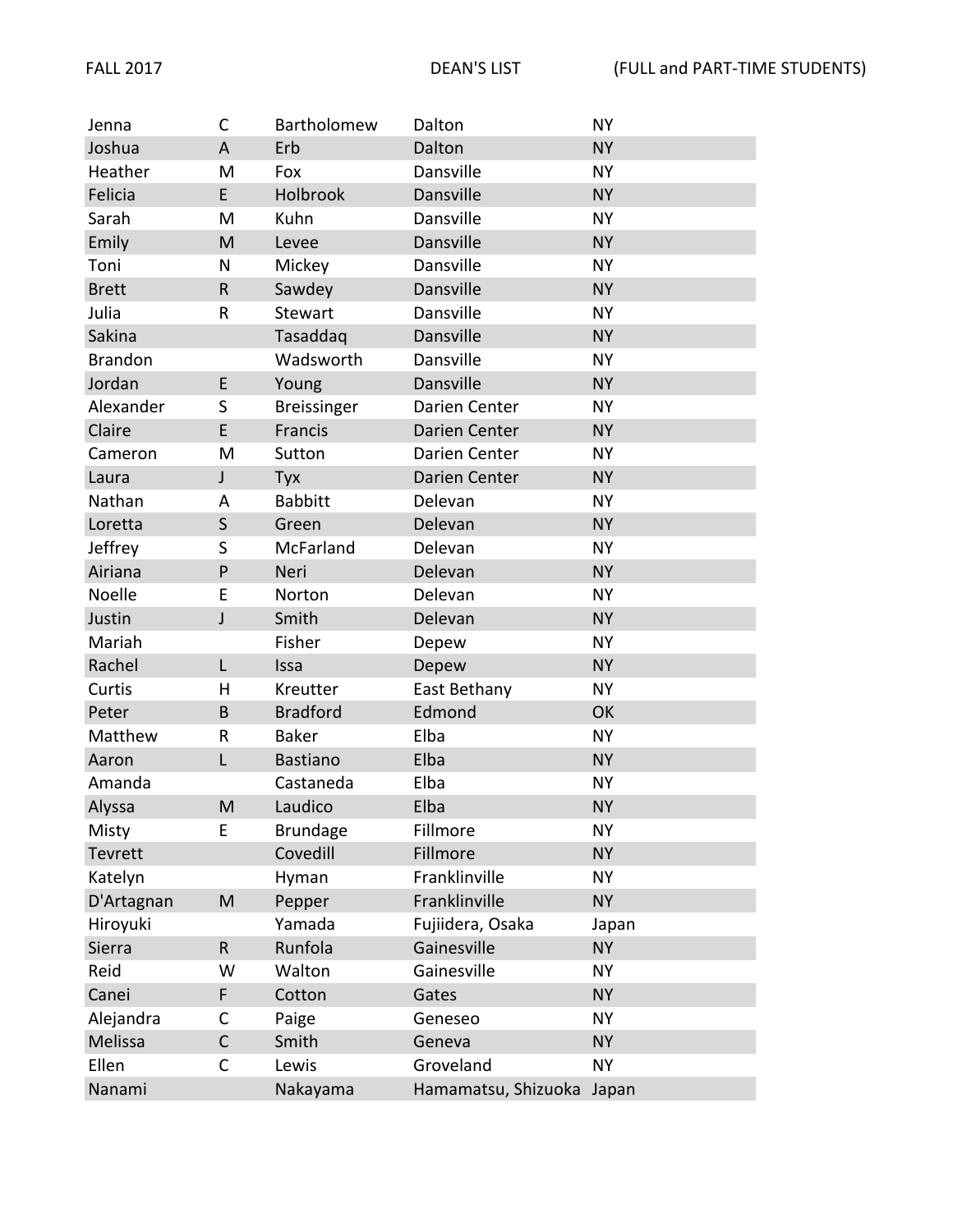| Jenna          | C           | Bartholomew      | Dalton              | <b>NY</b> |
|----------------|-------------|------------------|---------------------|-----------|
| Joshua         | A           | Erb              | Dalton              | <b>NY</b> |
| Heather        | M           | Fox              | Dansville           | <b>NY</b> |
| Felicia        | E           | Holbrook         | Dansville           | <b>NY</b> |
| Sarah          | M           | Kuhn             | Dansville           | <b>NY</b> |
| Emily          | M           | Levee            | Dansville           | <b>NY</b> |
| Toni           | N           | Mickey           | Dansville           | <b>NY</b> |
| <b>Brett</b>   | $\mathsf R$ | Sawdey           | Dansville           | <b>NY</b> |
| Julia          | R           | Stewart          | Dansville           | <b>NY</b> |
| Sakina         |             | Tasaddaq         | Dansville           | <b>NY</b> |
| <b>Brandon</b> |             | Wadsworth        | Dansville           | <b>NY</b> |
| Jordan         | E           | Young            | Dansville           | <b>NY</b> |
| Alexander      | S           | Breissinger      | Darien Center       | <b>NY</b> |
| Claire         | E           | Francis          | Darien Center       | <b>NY</b> |
| Cameron        | M           | Sutton           | Darien Center       | <b>NY</b> |
| Laura          | $\mathsf J$ | Tyx              | Darien Center       | <b>NY</b> |
| Nathan         | Α           | <b>Babbitt</b>   | Delevan             | <b>NY</b> |
| Loretta        | $\mathsf S$ | Green            | Delevan             | <b>NY</b> |
| Jeffrey        | S           | <b>McFarland</b> | Delevan             | <b>NY</b> |
| Airiana        | P           | Neri             | Delevan             | <b>NY</b> |
| Noelle         | E           | Norton           | Delevan             | <b>NY</b> |
| Justin         | J           | Smith            | Delevan             | <b>NY</b> |
| Mariah         |             | Fisher           | Depew               | <b>NY</b> |
| Rachel         | L           | Issa             | Depew               | <b>NY</b> |
| Curtis         | Н           | Kreutter         | East Bethany        | <b>NY</b> |
| Peter          | B           | <b>Bradford</b>  | Edmond              | OK        |
| Matthew        | $\mathsf R$ | <b>Baker</b>     | Elba                | <b>NY</b> |
| Aaron          | L           | <b>Bastiano</b>  | Elba                | <b>NY</b> |
| Amanda         |             | Castaneda        | Elba                | <b>NY</b> |
| Alyssa         | M           | Laudico          | Elba                | <b>NY</b> |
| Misty          | Е           | <b>Brundage</b>  | Fillmore            | <b>NY</b> |
| Tevrett        |             | Covedill         | Fillmore            | <b>NY</b> |
| Katelyn        |             | Hyman            | Franklinville       | <b>NY</b> |
| D'Artagnan     | M           | Pepper           | Franklinville       | <b>NY</b> |
| Hiroyuki       |             | Yamada           | Fujiidera, Osaka    | Japan     |
| Sierra         | ${\sf R}$   | Runfola          | Gainesville         | <b>NY</b> |
| Reid           | W           | Walton           | Gainesville         | <b>NY</b> |
| Canei          | F           | Cotton           | Gates               | <b>NY</b> |
| Alejandra      | С           | Paige            | Geneseo             | <b>NY</b> |
| Melissa        | $\mathsf C$ | Smith            | Geneva              | <b>NY</b> |
| Ellen          | С           | Lewis            | Groveland           | <b>NY</b> |
| Nanami         |             | Nakayama         | Hamamatsu, Shizuoka | Japan     |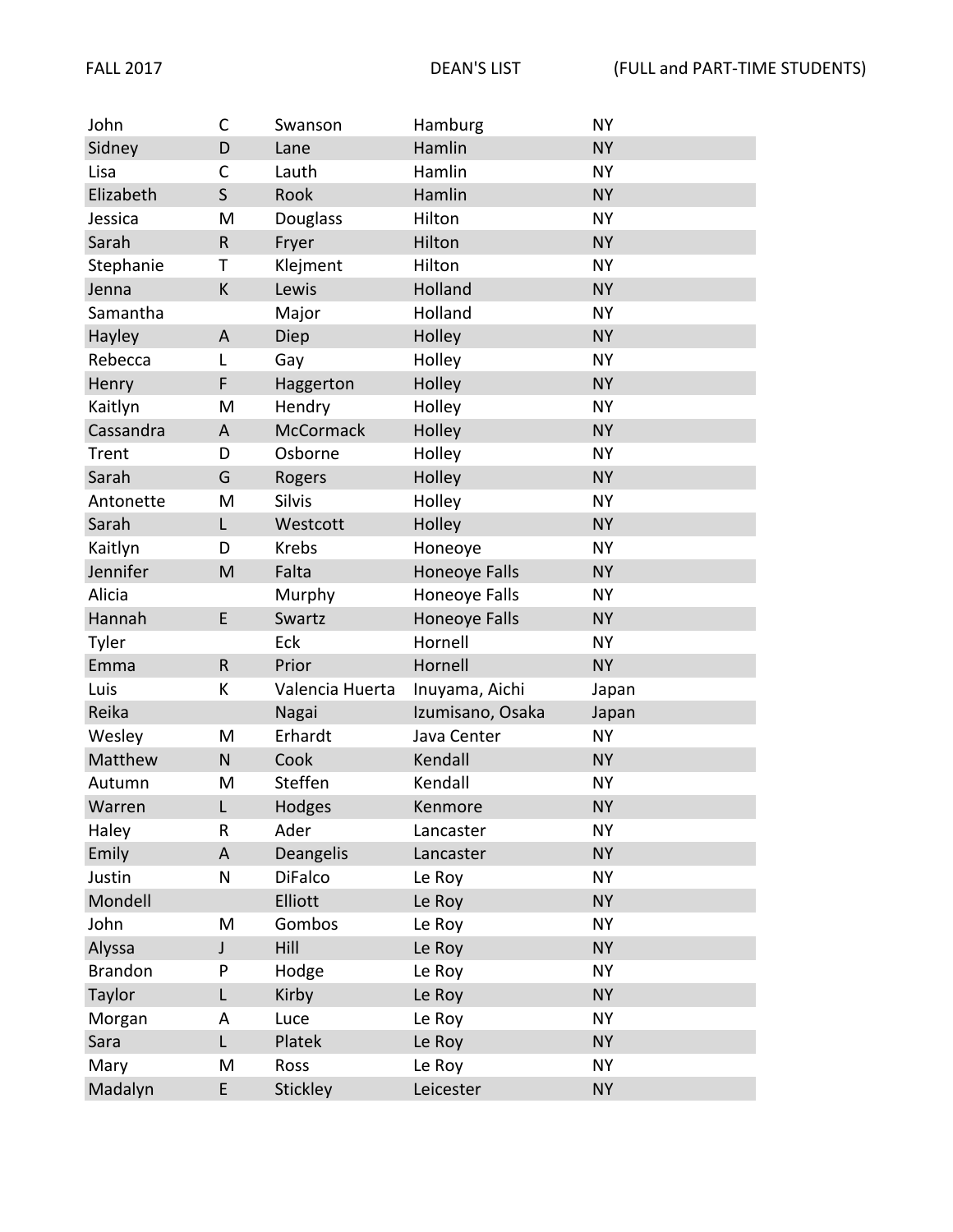| John           | $\mathsf C$  | Swanson          | Hamburg          | <b>NY</b> |
|----------------|--------------|------------------|------------------|-----------|
| Sidney         | D            | Lane             | Hamlin           | <b>NY</b> |
| Lisa           | C            | Lauth            | Hamlin           | <b>NY</b> |
| Elizabeth      | S            | Rook             | Hamlin           | <b>NY</b> |
| Jessica        | M            | Douglass         | Hilton           | <b>NY</b> |
| Sarah          | $\mathsf{R}$ | Fryer            | Hilton           | <b>NY</b> |
| Stephanie      | Τ            | Klejment         | Hilton           | <b>NY</b> |
| Jenna          | К            | Lewis            | Holland          | <b>NY</b> |
| Samantha       |              | Major            | Holland          | <b>NY</b> |
| Hayley         | A            | Diep             | Holley           | <b>NY</b> |
| Rebecca        | L            | Gay              | Holley           | <b>NY</b> |
| Henry          | F            | Haggerton        | Holley           | <b>NY</b> |
| Kaitlyn        | M            | Hendry           | Holley           | <b>NY</b> |
| Cassandra      | A            | <b>McCormack</b> | Holley           | <b>NY</b> |
| Trent          | D            | Osborne          | Holley           | <b>NY</b> |
| Sarah          | G            | Rogers           | Holley           | <b>NY</b> |
| Antonette      | M            | Silvis           | Holley           | <b>NY</b> |
| Sarah          | L            | Westcott         | Holley           | <b>NY</b> |
| Kaitlyn        | D            | <b>Krebs</b>     | Honeoye          | <b>NY</b> |
| Jennifer       | M            | Falta            | Honeoye Falls    | <b>NY</b> |
| Alicia         |              | Murphy           | Honeoye Falls    | <b>NY</b> |
| Hannah         | E            | Swartz           | Honeoye Falls    | <b>NY</b> |
| Tyler          |              | Eck              | Hornell          | <b>NY</b> |
| Emma           | $\mathsf{R}$ | Prior            | Hornell          | <b>NY</b> |
| Luis           | К            | Valencia Huerta  | Inuyama, Aichi   | Japan     |
| Reika          |              | Nagai            | Izumisano, Osaka | Japan     |
| Wesley         | M            | Erhardt          | Java Center      | <b>NY</b> |
| Matthew        | $\mathsf{N}$ | Cook             | Kendall          | <b>NY</b> |
| Autumn         | M            | Steffen          | Kendall          | <b>NY</b> |
| Warren         | L            | Hodges           | Kenmore          | <b>NY</b> |
| Haley          | R            | Ader             | Lancaster        | <b>NY</b> |
| Emily          | A            | Deangelis        | Lancaster        | <b>NY</b> |
| Justin         | N            | <b>DiFalco</b>   | Le Roy           | <b>NY</b> |
| Mondell        |              | Elliott          | Le Roy           | <b>NY</b> |
| John           | M            | Gombos           | Le Roy           | <b>NY</b> |
| Alyssa         | J            | Hill             | Le Roy           | <b>NY</b> |
| <b>Brandon</b> | P            | Hodge            | Le Roy           | <b>NY</b> |
| Taylor         | L            | Kirby            | Le Roy           | <b>NY</b> |
| Morgan         | A            | Luce             | Le Roy           | <b>NY</b> |
| Sara           | L            | Platek           | Le Roy           | <b>NY</b> |
| Mary           | M            | Ross             | Le Roy           | <b>NY</b> |
| Madalyn        | E            | <b>Stickley</b>  | Leicester        | <b>NY</b> |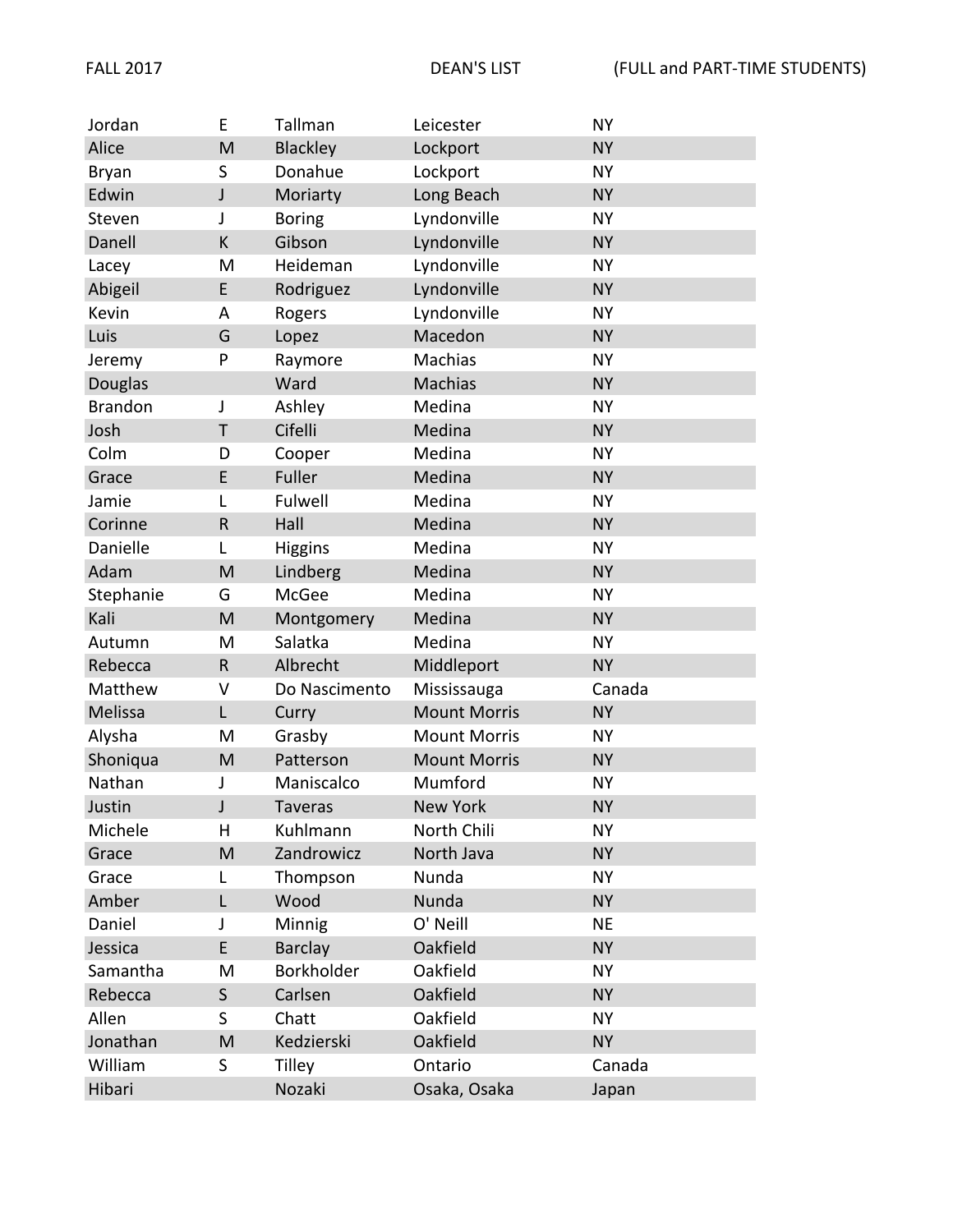| Jordan         | E           | Tallman        | Leicester           | <b>NY</b> |
|----------------|-------------|----------------|---------------------|-----------|
| Alice          | M           | Blackley       | Lockport            | <b>NY</b> |
| <b>Bryan</b>   | S           | Donahue        | Lockport            | <b>NY</b> |
| Edwin          | J           | Moriarty       | Long Beach          | <b>NY</b> |
| Steven         | J           | <b>Boring</b>  | Lyndonville         | <b>NY</b> |
| Danell         | K           | Gibson         | Lyndonville         | <b>NY</b> |
| Lacey          | M           | Heideman       | Lyndonville         | <b>NY</b> |
| Abigeil        | E           | Rodriguez      | Lyndonville         | <b>NY</b> |
| Kevin          | A           | Rogers         | Lyndonville         | <b>NY</b> |
| Luis           | G           | Lopez          | Macedon             | <b>NY</b> |
| Jeremy         | P           | Raymore        | Machias             | <b>NY</b> |
| <b>Douglas</b> |             | Ward           | <b>Machias</b>      | <b>NY</b> |
| <b>Brandon</b> | J           | Ashley         | Medina              | <b>NY</b> |
| Josh           | T           | Cifelli        | Medina              | <b>NY</b> |
| Colm           | D           | Cooper         | Medina              | <b>NY</b> |
| Grace          | E           | Fuller         | Medina              | <b>NY</b> |
| Jamie          | L           | Fulwell        | Medina              | <b>NY</b> |
| Corinne        | ${\sf R}$   | Hall           | Medina              | <b>NY</b> |
| Danielle       | L           | <b>Higgins</b> | Medina              | <b>NY</b> |
| Adam           | M           | Lindberg       | Medina              | <b>NY</b> |
| Stephanie      | G           | McGee          | Medina              | <b>NY</b> |
| Kali           | M           | Montgomery     | Medina              | <b>NY</b> |
| Autumn         | M           | Salatka        | Medina              | <b>NY</b> |
| Rebecca        | $\mathsf R$ | Albrecht       | Middleport          | <b>NY</b> |
| Matthew        | V           | Do Nascimento  | Mississauga         | Canada    |
| Melissa        | L           | Curry          | <b>Mount Morris</b> | <b>NY</b> |
| Alysha         | M           | Grasby         | <b>Mount Morris</b> | <b>NY</b> |
| Shoniqua       | M           | Patterson      | <b>Mount Morris</b> | <b>NY</b> |
| Nathan         | J           | Maniscalco     | Mumford             | <b>NY</b> |
| Justin         | J           | <b>Taveras</b> | New York            | <b>NY</b> |
| Michele        | н           | Kuhlmann       | North Chili         | <b>NY</b> |
| Grace          | M           | Zandrowicz     | North Java          | <b>NY</b> |
| Grace          | L           | Thompson       | Nunda               | <b>NY</b> |
| Amber          | L           | Wood           | Nunda               | <b>NY</b> |
| Daniel         | J           | Minnig         | O' Neill            | <b>NE</b> |
| Jessica        | E           | Barclay        | Oakfield            | <b>NY</b> |
| Samantha       | M           | Borkholder     | Oakfield            | <b>NY</b> |
| Rebecca        | $\mathsf S$ | Carlsen        | Oakfield            | <b>NY</b> |
| Allen          | S           | Chatt          | Oakfield            | <b>NY</b> |
| Jonathan       | M           | Kedzierski     | Oakfield            | <b>NY</b> |
| William        | S           | <b>Tilley</b>  | Ontario             | Canada    |
| Hibari         |             | Nozaki         | Osaka, Osaka        | Japan     |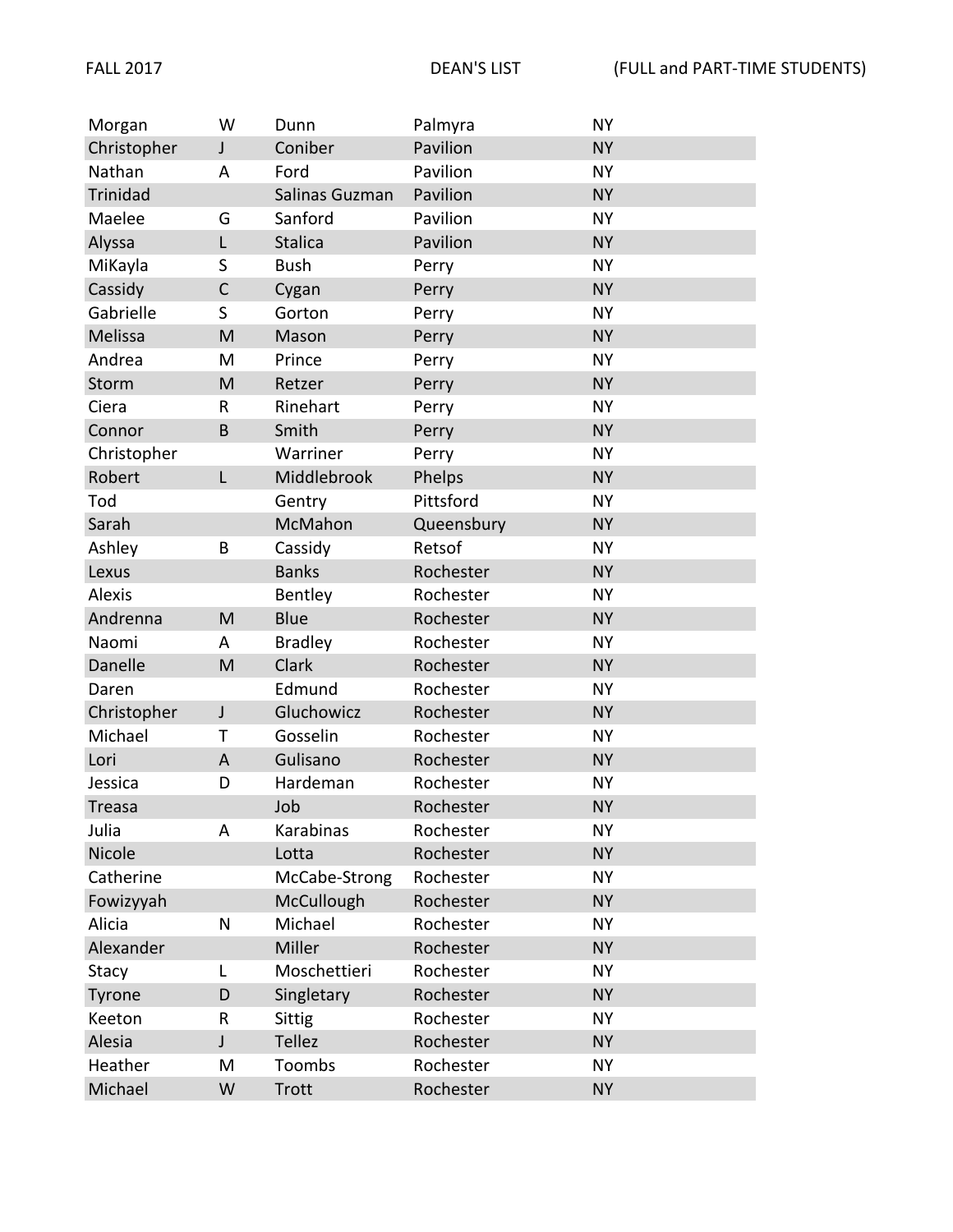| Morgan          | W            | Dunn           | Palmyra    | <b>NY</b> |
|-----------------|--------------|----------------|------------|-----------|
| Christopher     | $\mathsf J$  | Coniber        | Pavilion   | <b>NY</b> |
| Nathan          | A            | Ford           | Pavilion   | <b>NY</b> |
| <b>Trinidad</b> |              | Salinas Guzman | Pavilion   | <b>NY</b> |
| Maelee          | G            | Sanford        | Pavilion   | <b>NY</b> |
| Alyssa          | L            | <b>Stalica</b> | Pavilion   | <b>NY</b> |
| MiKayla         | S            | <b>Bush</b>    | Perry      | <b>NY</b> |
| Cassidy         | $\mathsf C$  | Cygan          | Perry      | <b>NY</b> |
| Gabrielle       | S            | Gorton         | Perry      | <b>NY</b> |
| Melissa         | M            | Mason          | Perry      | <b>NY</b> |
| Andrea          | M            | Prince         | Perry      | <b>NY</b> |
| Storm           | M            | Retzer         | Perry      | <b>NY</b> |
| Ciera           | $\mathsf{R}$ | Rinehart       | Perry      | <b>NY</b> |
| Connor          | B            | Smith          | Perry      | <b>NY</b> |
| Christopher     |              | Warriner       | Perry      | <b>NY</b> |
| Robert          | L            | Middlebrook    | Phelps     | <b>NY</b> |
| Tod             |              | Gentry         | Pittsford  | <b>NY</b> |
| Sarah           |              | McMahon        | Queensbury | <b>NY</b> |
| Ashley          | B            | Cassidy        | Retsof     | <b>NY</b> |
| Lexus           |              | <b>Banks</b>   | Rochester  | <b>NY</b> |
| <b>Alexis</b>   |              | Bentley        | Rochester  | <b>NY</b> |
| Andrenna        | M            | <b>Blue</b>    | Rochester  | <b>NY</b> |
| Naomi           | A            | <b>Bradley</b> | Rochester  | <b>NY</b> |
| Danelle         | M            | Clark          | Rochester  | <b>NY</b> |
| Daren           |              | Edmund         | Rochester  | <b>NY</b> |
| Christopher     | $\mathsf{J}$ | Gluchowicz     | Rochester  | <b>NY</b> |
| Michael         | Τ            | Gosselin       | Rochester  | <b>NY</b> |
| Lori            | A            | Gulisano       | Rochester  | <b>NY</b> |
| Jessica         | D            | Hardeman       | Rochester  | <b>NY</b> |
| Treasa          |              | Job            | Rochester  | <b>NY</b> |
| Julia           | A            | Karabinas      | Rochester  | <b>NY</b> |
| Nicole          |              | Lotta          | Rochester  | <b>NY</b> |
| Catherine       |              | McCabe-Strong  | Rochester  | <b>NY</b> |
| Fowizyyah       |              | McCullough     | Rochester  | <b>NY</b> |
| Alicia          | $\mathsf{N}$ | Michael        | Rochester  | <b>NY</b> |
| Alexander       |              | Miller         | Rochester  | <b>NY</b> |
| Stacy           | L            | Moschettieri   | Rochester  | <b>NY</b> |
| Tyrone          | D            | Singletary     | Rochester  | <b>NY</b> |
| Keeton          | $\sf R$      | <b>Sittig</b>  | Rochester  | <b>NY</b> |
| Alesia          | J            | Tellez         | Rochester  | <b>NY</b> |
| Heather         | M            | Toombs         | Rochester  | <b>NY</b> |
| Michael         | W            | <b>Trott</b>   | Rochester  | <b>NY</b> |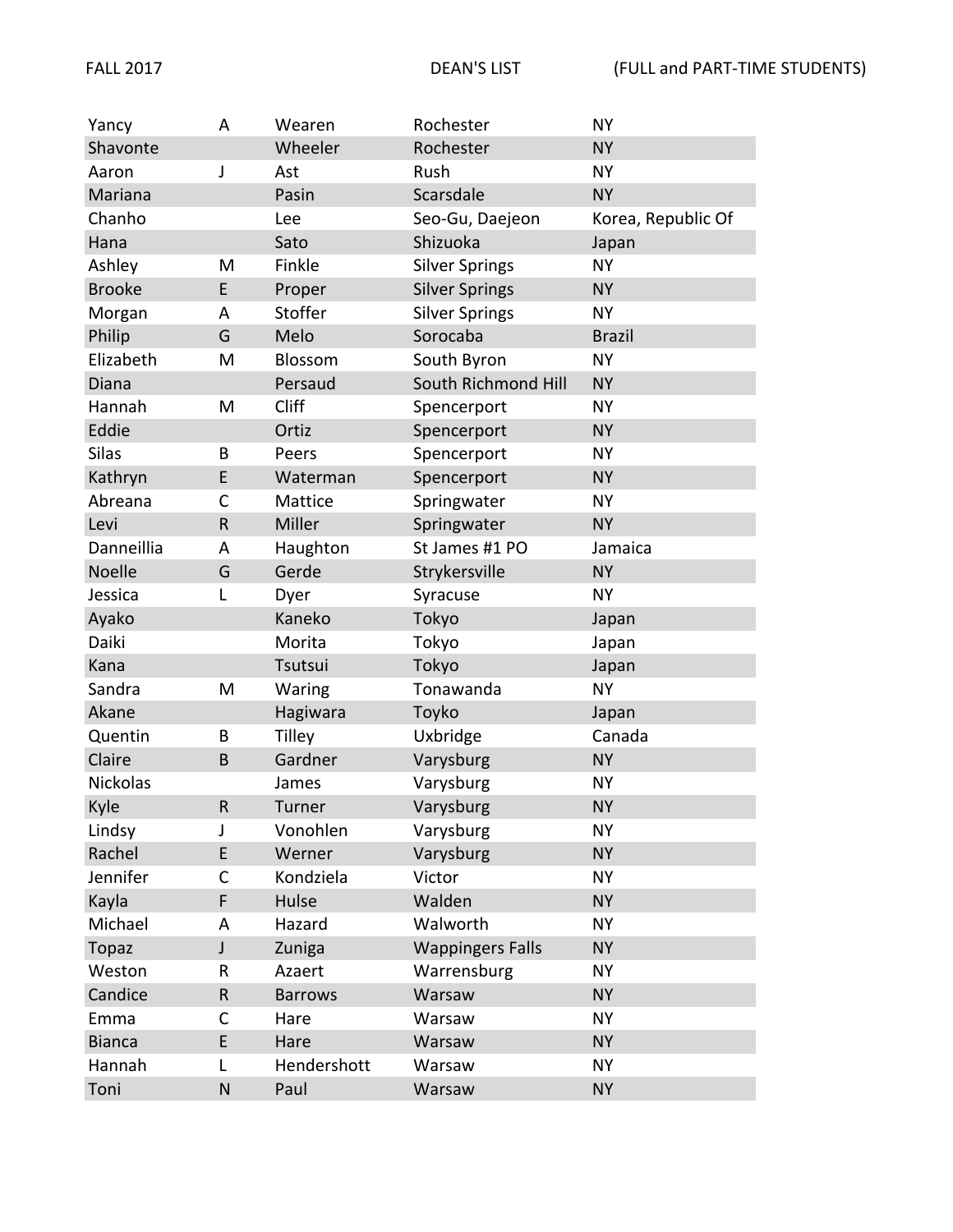| Yancy           | Α           | Wearen         | Rochester               | <b>NY</b>          |
|-----------------|-------------|----------------|-------------------------|--------------------|
| Shavonte        |             | Wheeler        | Rochester               | <b>NY</b>          |
| Aaron           | J           | Ast            | Rush                    | <b>NY</b>          |
| Mariana         |             | Pasin          | Scarsdale               | <b>NY</b>          |
| Chanho          |             | Lee            | Seo-Gu, Daejeon         | Korea, Republic Of |
| Hana            |             | Sato           | Shizuoka                | Japan              |
| Ashley          | M           | Finkle         | <b>Silver Springs</b>   | <b>NY</b>          |
| <b>Brooke</b>   | E           | Proper         | <b>Silver Springs</b>   | <b>NY</b>          |
| Morgan          | A           | Stoffer        | <b>Silver Springs</b>   | <b>NY</b>          |
| Philip          | G           | Melo           | Sorocaba                | <b>Brazil</b>      |
| Elizabeth       | M           | Blossom        | South Byron             | <b>NY</b>          |
| Diana           |             | Persaud        | South Richmond Hill     | <b>NY</b>          |
| Hannah          | M           | Cliff          | Spencerport             | <b>NY</b>          |
| Eddie           |             | Ortiz          | Spencerport             | <b>NY</b>          |
| <b>Silas</b>    | B           | Peers          | Spencerport             | <b>NY</b>          |
| Kathryn         | E           | Waterman       | Spencerport             | <b>NY</b>          |
| Abreana         | C           | Mattice        | Springwater             | <b>NY</b>          |
| Levi            | $\mathsf R$ | Miller         | Springwater             | <b>NY</b>          |
| Danneillia      | Α           | Haughton       | St James #1 PO          | Jamaica            |
| Noelle          | G           | Gerde          | Strykersville           | <b>NY</b>          |
| Jessica         | L           | Dyer           | Syracuse                | <b>NY</b>          |
| Ayako           |             | Kaneko         | Tokyo                   | Japan              |
| Daiki           |             | Morita         | Tokyo                   | Japan              |
| Kana            |             | Tsutsui        | Tokyo                   | Japan              |
| Sandra          | M           | Waring         | Tonawanda               | <b>NY</b>          |
| Akane           |             | Hagiwara       | Toyko                   | Japan              |
| Quentin         | B           | <b>Tilley</b>  | Uxbridge                | Canada             |
| Claire          | B           | Gardner        | Varysburg               | <b>NY</b>          |
| <b>Nickolas</b> |             | James          | Varysburg               | <b>NY</b>          |
| Kyle            | ${\sf R}$   | Turner         | Varysburg               | <b>NY</b>          |
| Lindsy          | J           | Vonohlen       | Varysburg               | <b>NY</b>          |
| Rachel          | E           | Werner         | Varysburg               | <b>NY</b>          |
| Jennifer        | C           | Kondziela      | Victor                  | <b>NY</b>          |
| Kayla           | F           | Hulse          | Walden                  | <b>NY</b>          |
| Michael         | A           | Hazard         | Walworth                | <b>NY</b>          |
| <b>Topaz</b>    | J           | Zuniga         | <b>Wappingers Falls</b> | <b>NY</b>          |
| Weston          | R           | Azaert         | Warrensburg             | <b>NY</b>          |
| Candice         | ${\sf R}$   | <b>Barrows</b> | Warsaw                  | <b>NY</b>          |
| Emma            | C           | Hare           | Warsaw                  | <b>NY</b>          |
| <b>Bianca</b>   | E           | Hare           | Warsaw                  | <b>NY</b>          |
| Hannah          | L           | Hendershott    | Warsaw                  | <b>NY</b>          |
| Toni            | N           | Paul           | Warsaw                  | <b>NY</b>          |